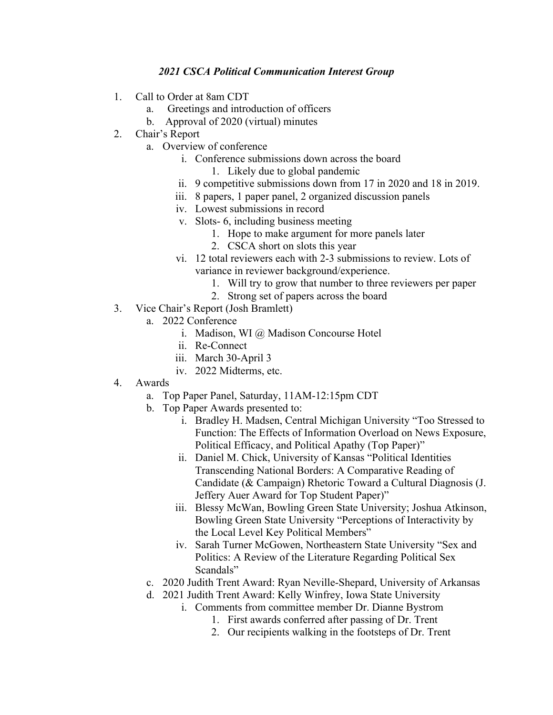## *2021 CSCA Political Communication Interest Group*

- 1. Call to Order at 8am CDT
	- a. Greetings and introduction of officers
	- b. Approval of 2020 (virtual) minutes
- 2. Chair's Report
	- a. Overview of conference
		- i. Conference submissions down across the board
			- 1. Likely due to global pandemic
		- ii. 9 competitive submissions down from 17 in 2020 and 18 in 2019.
		- iii. 8 papers, 1 paper panel, 2 organized discussion panels
		- iv. Lowest submissions in record
		- v. Slots- 6, including business meeting
			- 1. Hope to make argument for more panels later
			- 2. CSCA short on slots this year
		- vi. 12 total reviewers each with 2-3 submissions to review. Lots of variance in reviewer background/experience.
			- 1. Will try to grow that number to three reviewers per paper
			- 2. Strong set of papers across the board
- 3. Vice Chair's Report (Josh Bramlett)
	- a. 2022 Conference
		- i. Madison, WI @ Madison Concourse Hotel
		- ii. Re-Connect
		- iii. March 30-April 3
		- iv. 2022 Midterms, etc.
- 4. Awards
	- a. Top Paper Panel, Saturday, 11AM-12:15pm CDT
	- b. Top Paper Awards presented to:
		- i. Bradley H. Madsen, Central Michigan University "Too Stressed to Function: The Effects of Information Overload on News Exposure, Political Efficacy, and Political Apathy (Top Paper)"
		- ii. Daniel M. Chick, University of Kansas "Political Identities Transcending National Borders: A Comparative Reading of Candidate (& Campaign) Rhetoric Toward a Cultural Diagnosis (J. Jeffery Auer Award for Top Student Paper)"
		- iii. Blessy McWan, Bowling Green State University; Joshua Atkinson, Bowling Green State University "Perceptions of Interactivity by the Local Level Key Political Members"
		- iv. Sarah Turner McGowen, Northeastern State University "Sex and Politics: A Review of the Literature Regarding Political Sex Scandals"
	- c. 2020 Judith Trent Award: Ryan Neville-Shepard, University of Arkansas
	- d. 2021 Judith Trent Award: Kelly Winfrey, Iowa State University
		- i. Comments from committee member Dr. Dianne Bystrom
			- 1. First awards conferred after passing of Dr. Trent
			- 2. Our recipients walking in the footsteps of Dr. Trent